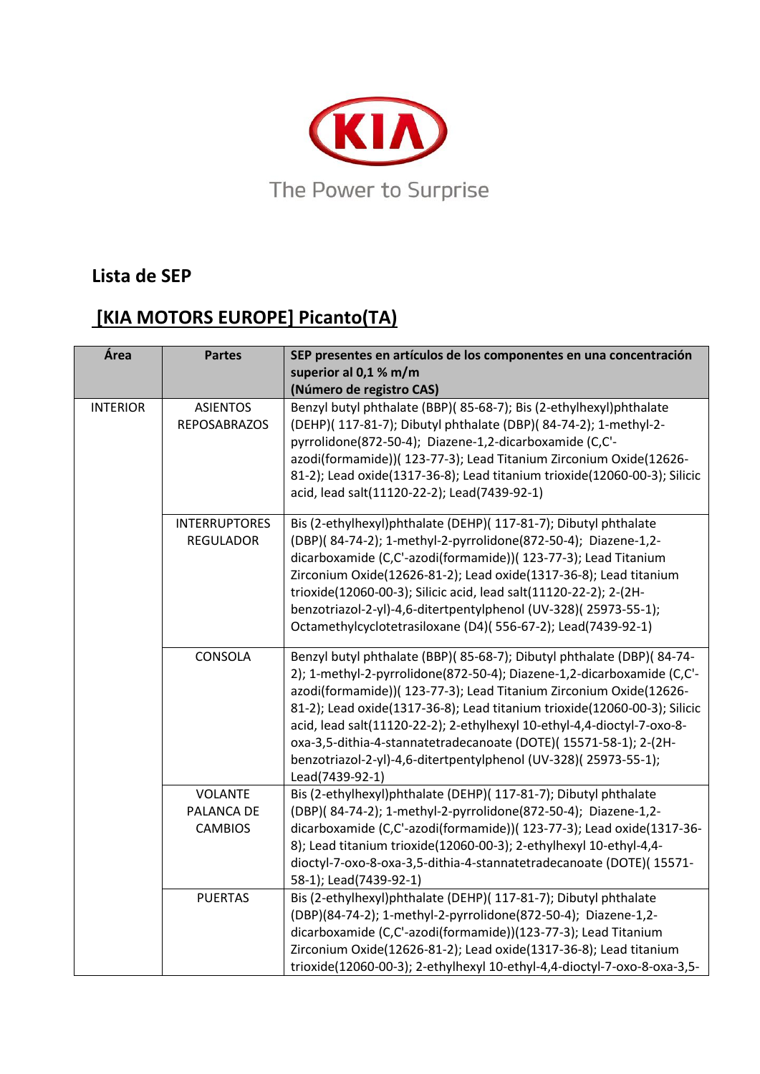

## **Lista de SEP**

## **[KIA MOTORS EUROPE] Picanto(TA)**

| Área            | <b>Partes</b>                                  | SEP presentes en artículos de los componentes en una concentración<br>superior al 0,1 % m/m<br>(Número de registro CAS)                                                                                                                                                                                                                                                                                                                                                                                                                 |
|-----------------|------------------------------------------------|-----------------------------------------------------------------------------------------------------------------------------------------------------------------------------------------------------------------------------------------------------------------------------------------------------------------------------------------------------------------------------------------------------------------------------------------------------------------------------------------------------------------------------------------|
| <b>INTERIOR</b> | <b>ASIENTOS</b><br><b>REPOSABRAZOS</b>         | Benzyl butyl phthalate (BBP)(85-68-7); Bis (2-ethylhexyl)phthalate<br>(DEHP)( 117-81-7); Dibutyl phthalate (DBP)( 84-74-2); 1-methyl-2-<br>pyrrolidone(872-50-4); Diazene-1,2-dicarboxamide (C,C'-<br>azodi(formamide))( 123-77-3); Lead Titanium Zirconium Oxide(12626-<br>81-2); Lead oxide(1317-36-8); Lead titanium trioxide(12060-00-3); Silicic<br>acid, lead salt(11120-22-2); Lead(7439-92-1)                                                                                                                                   |
|                 | <b>INTERRUPTORES</b><br><b>REGULADOR</b>       | Bis (2-ethylhexyl)phthalate (DEHP)( 117-81-7); Dibutyl phthalate<br>(DBP)(84-74-2); 1-methyl-2-pyrrolidone(872-50-4); Diazene-1,2-<br>dicarboxamide (C,C'-azodi(formamide))( 123-77-3); Lead Titanium<br>Zirconium Oxide(12626-81-2); Lead oxide(1317-36-8); Lead titanium<br>trioxide(12060-00-3); Silicic acid, lead salt(11120-22-2); 2-(2H-<br>benzotriazol-2-yl)-4,6-ditertpentylphenol (UV-328)(25973-55-1);<br>Octamethylcyclotetrasiloxane (D4)(556-67-2); Lead(7439-92-1)                                                      |
|                 | CONSOLA                                        | Benzyl butyl phthalate (BBP)(85-68-7); Dibutyl phthalate (DBP)(84-74-<br>2); 1-methyl-2-pyrrolidone(872-50-4); Diazene-1,2-dicarboxamide (C,C'-<br>azodi(formamide))( 123-77-3); Lead Titanium Zirconium Oxide(12626-<br>81-2); Lead oxide(1317-36-8); Lead titanium trioxide(12060-00-3); Silicic<br>acid, lead salt(11120-22-2); 2-ethylhexyl 10-ethyl-4,4-dioctyl-7-oxo-8-<br>oxa-3,5-dithia-4-stannatetradecanoate (DOTE)(15571-58-1); 2-(2H-<br>benzotriazol-2-yl)-4,6-ditertpentylphenol (UV-328)(25973-55-1);<br>Lead(7439-92-1) |
|                 | <b>VOLANTE</b><br>PALANCA DE<br><b>CAMBIOS</b> | Bis (2-ethylhexyl)phthalate (DEHP)( 117-81-7); Dibutyl phthalate<br>(DBP)(84-74-2); 1-methyl-2-pyrrolidone(872-50-4); Diazene-1,2-<br>dicarboxamide (C,C'-azodi(formamide))( 123-77-3); Lead oxide(1317-36-<br>8); Lead titanium trioxide(12060-00-3); 2-ethylhexyl 10-ethyl-4,4-<br>dioctyl-7-oxo-8-oxa-3,5-dithia-4-stannatetradecanoate (DOTE)( 15571-<br>58-1); Lead(7439-92-1)                                                                                                                                                     |
|                 | <b>PUERTAS</b>                                 | Bis (2-ethylhexyl)phthalate (DEHP)( 117-81-7); Dibutyl phthalate<br>(DBP)(84-74-2); 1-methyl-2-pyrrolidone(872-50-4); Diazene-1,2-<br>dicarboxamide (C,C'-azodi(formamide))(123-77-3); Lead Titanium<br>Zirconium Oxide(12626-81-2); Lead oxide(1317-36-8); Lead titanium<br>trioxide(12060-00-3); 2-ethylhexyl 10-ethyl-4,4-dioctyl-7-oxo-8-oxa-3,5-                                                                                                                                                                                   |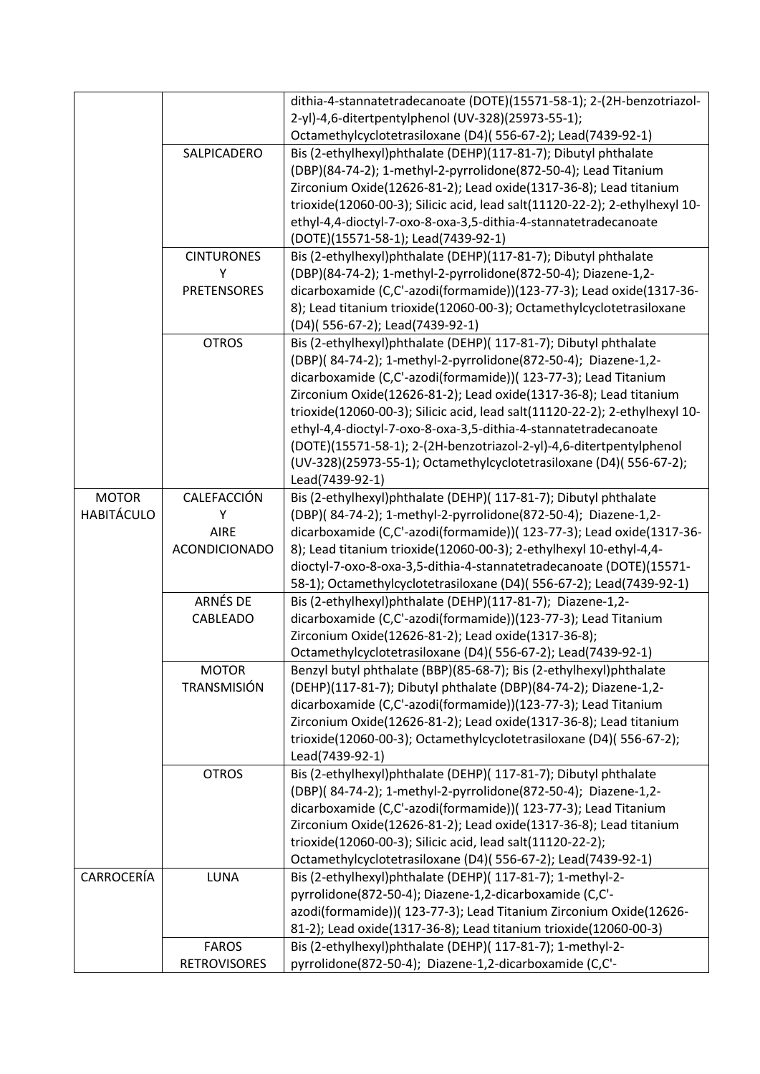|                   |                     | dithia-4-stannatetradecanoate (DOTE)(15571-58-1); 2-(2H-benzotriazol-<br>2-yl)-4,6-ditertpentylphenol (UV-328)(25973-55-1);             |
|-------------------|---------------------|-----------------------------------------------------------------------------------------------------------------------------------------|
|                   |                     | Octamethylcyclotetrasiloxane (D4)(556-67-2); Lead(7439-92-1)                                                                            |
|                   | SALPICADERO         | Bis (2-ethylhexyl)phthalate (DEHP)(117-81-7); Dibutyl phthalate                                                                         |
|                   |                     | (DBP)(84-74-2); 1-methyl-2-pyrrolidone(872-50-4); Lead Titanium                                                                         |
|                   |                     | Zirconium Oxide(12626-81-2); Lead oxide(1317-36-8); Lead titanium                                                                       |
|                   |                     | trioxide(12060-00-3); Silicic acid, lead salt(11120-22-2); 2-ethylhexyl 10-                                                             |
|                   |                     | ethyl-4,4-dioctyl-7-oxo-8-oxa-3,5-dithia-4-stannatetradecanoate                                                                         |
|                   |                     | (DOTE)(15571-58-1); Lead(7439-92-1)                                                                                                     |
|                   | <b>CINTURONES</b>   | Bis (2-ethylhexyl)phthalate (DEHP)(117-81-7); Dibutyl phthalate                                                                         |
|                   | Υ                   | (DBP)(84-74-2); 1-methyl-2-pyrrolidone(872-50-4); Diazene-1,2-                                                                          |
|                   | <b>PRETENSORES</b>  | dicarboxamide (C,C'-azodi(formamide))(123-77-3); Lead oxide(1317-36-                                                                    |
|                   |                     | 8); Lead titanium trioxide(12060-00-3); Octamethylcyclotetrasiloxane                                                                    |
|                   |                     | (D4)(556-67-2); Lead(7439-92-1)                                                                                                         |
|                   | <b>OTROS</b>        | Bis (2-ethylhexyl)phthalate (DEHP)( 117-81-7); Dibutyl phthalate                                                                        |
|                   |                     | (DBP)(84-74-2); 1-methyl-2-pyrrolidone(872-50-4); Diazene-1,2-                                                                          |
|                   |                     | dicarboxamide (C,C'-azodi(formamide))( 123-77-3); Lead Titanium                                                                         |
|                   |                     | Zirconium Oxide(12626-81-2); Lead oxide(1317-36-8); Lead titanium                                                                       |
|                   |                     | trioxide(12060-00-3); Silicic acid, lead salt(11120-22-2); 2-ethylhexyl 10-                                                             |
|                   |                     | ethyl-4,4-dioctyl-7-oxo-8-oxa-3,5-dithia-4-stannatetradecanoate                                                                         |
|                   |                     | (DOTE)(15571-58-1); 2-(2H-benzotriazol-2-yl)-4,6-ditertpentylphenol                                                                     |
|                   |                     | (UV-328)(25973-55-1); Octamethylcyclotetrasiloxane (D4)( 556-67-2);                                                                     |
|                   |                     | Lead(7439-92-1)                                                                                                                         |
| <b>MOTOR</b>      | CALEFACCIÓN         | Bis (2-ethylhexyl)phthalate (DEHP)( 117-81-7); Dibutyl phthalate                                                                        |
| <b>HABITÁCULO</b> | Υ                   | (DBP)(84-74-2); 1-methyl-2-pyrrolidone(872-50-4); Diazene-1,2-                                                                          |
|                   | AIRE                | dicarboxamide (C,C'-azodi(formamide))( 123-77-3); Lead oxide(1317-36-                                                                   |
|                   | ACONDICIONADO       | 8); Lead titanium trioxide(12060-00-3); 2-ethylhexyl 10-ethyl-4,4-                                                                      |
|                   |                     | dioctyl-7-oxo-8-oxa-3,5-dithia-4-stannatetradecanoate (DOTE)(15571-                                                                     |
|                   |                     | 58-1); Octamethylcyclotetrasiloxane (D4)(556-67-2); Lead(7439-92-1)                                                                     |
|                   | ARNÉS DE            | Bis (2-ethylhexyl)phthalate (DEHP)(117-81-7); Diazene-1,2-                                                                              |
|                   | CABLEADO            | dicarboxamide (C,C'-azodi(formamide))(123-77-3); Lead Titanium                                                                          |
|                   |                     | Zirconium Oxide(12626-81-2); Lead oxide(1317-36-8);                                                                                     |
|                   |                     | Octamethylcyclotetrasiloxane (D4)(556-67-2); Lead(7439-92-1)                                                                            |
|                   | <b>MOTOR</b>        | Benzyl butyl phthalate (BBP)(85-68-7); Bis (2-ethylhexyl)phthalate                                                                      |
|                   | TRANSMISIÓN         | (DEHP)(117-81-7); Dibutyl phthalate (DBP)(84-74-2); Diazene-1,2-                                                                        |
|                   |                     | dicarboxamide (C,C'-azodi(formamide))(123-77-3); Lead Titanium                                                                          |
|                   |                     | Zirconium Oxide(12626-81-2); Lead oxide(1317-36-8); Lead titanium<br>trioxide(12060-00-3); Octamethylcyclotetrasiloxane (D4)(556-67-2); |
|                   |                     | Lead(7439-92-1)                                                                                                                         |
|                   | <b>OTROS</b>        | Bis (2-ethylhexyl)phthalate (DEHP)( 117-81-7); Dibutyl phthalate                                                                        |
|                   |                     | (DBP)(84-74-2); 1-methyl-2-pyrrolidone(872-50-4); Diazene-1,2-                                                                          |
|                   |                     | dicarboxamide (C,C'-azodi(formamide))( 123-77-3); Lead Titanium                                                                         |
|                   |                     | Zirconium Oxide(12626-81-2); Lead oxide(1317-36-8); Lead titanium                                                                       |
|                   |                     | trioxide(12060-00-3); Silicic acid, lead salt(11120-22-2);                                                                              |
|                   |                     | Octamethylcyclotetrasiloxane (D4)(556-67-2); Lead(7439-92-1)                                                                            |
| CARROCERÍA        | LUNA                | Bis (2-ethylhexyl)phthalate (DEHP)( 117-81-7); 1-methyl-2-                                                                              |
|                   |                     | pyrrolidone(872-50-4); Diazene-1,2-dicarboxamide (C,C'-                                                                                 |
|                   |                     | azodi(formamide))( 123-77-3); Lead Titanium Zirconium Oxide(12626-                                                                      |
|                   |                     | 81-2); Lead oxide(1317-36-8); Lead titanium trioxide(12060-00-3)                                                                        |
|                   | <b>FAROS</b>        | Bis (2-ethylhexyl)phthalate (DEHP)( 117-81-7); 1-methyl-2-                                                                              |
|                   | <b>RETROVISORES</b> | pyrrolidone(872-50-4); Diazene-1,2-dicarboxamide (C,C'-                                                                                 |